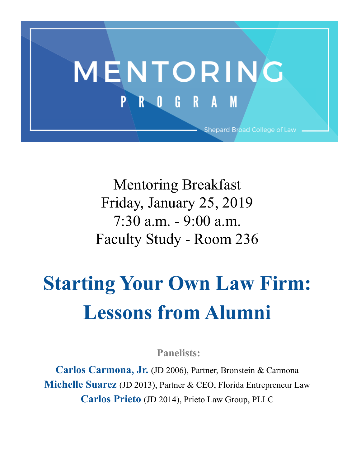

Mentoring Breakfast Friday, January 25, 2019 7:30 a.m. - 9:00 a.m. Faculty Study - Room 236

# **Starting Your Own Law Firm: Lessons from Alumni**

**Panelists:**

**Carlos Carmona, Jr.** (JD 2006), Partner, Bronstein & Carmona **Michelle Suarez** (JD 2013), Partner & CEO, Florida Entrepreneur Law **Carlos Prieto** (JD 2014), Prieto Law Group, PLLC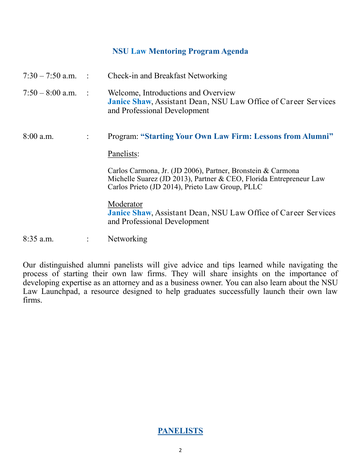# **NSU Law Mentoring Program Agenda**

| $7:30 - 7:50$ a.m. : |                | Check-in and Breakfast Networking                                                                                                                                                    |
|----------------------|----------------|--------------------------------------------------------------------------------------------------------------------------------------------------------------------------------------|
| $7:50 - 8:00$ a.m.   | $\sim$ 1       | Welcome, Introductions and Overview<br><b>Janice Shaw, Assistant Dean, NSU Law Office of Career Services</b><br>and Professional Development                                         |
| $8:00$ a.m.          | $\ddot{\cdot}$ | <b>Program: "Starting Your Own Law Firm: Lessons from Alumni"</b>                                                                                                                    |
|                      |                | Panelists:                                                                                                                                                                           |
|                      |                | Carlos Carmona, Jr. (JD 2006), Partner, Bronstein & Carmona<br>Michelle Suarez (JD 2013), Partner & CEO, Florida Entrepreneur Law<br>Carlos Prieto (JD 2014), Prieto Law Group, PLLC |
|                      |                | Moderator<br><b>Janice Shaw, Assistant Dean, NSU Law Office of Career Services</b><br>and Professional Development                                                                   |
| $8:35$ a.m.          |                | Networking                                                                                                                                                                           |

Our distinguished alumni panelists will give advice and tips learned while navigating the process of starting their own law firms. They will share insights on the importance of developing expertise as an attorney and as a business owner. You can also learn about the NSU Law Launchpad, a resource designed to help graduates successfully launch their own law firms.

# **PANELISTS**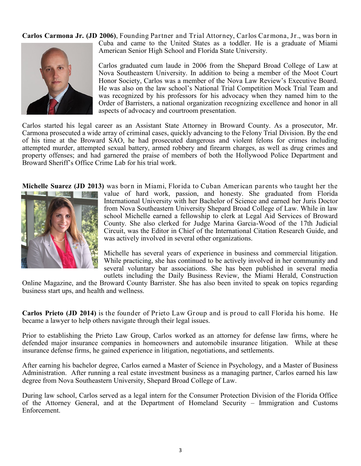**Carlos Carmona Jr. (JD 2006)**, Founding Partner and Trial Attorney, Carlos Carmona, Jr., was born in



Cuba and came to the United States as a toddler. He is a graduate of Miami American Senior High School and Florida State University.

Carlos graduated cum laude in 2006 from the Shepard Broad College of Law at Nova Southeastern University. In addition to being a member of the Moot Court Honor Society, Carlos was a member of the Nova Law Review's Executive Board. He was also on the law school's National Trial Competition Mock Trial Team and was recognized by his professors for his advocacy when they named him to the Order of Barristers, a national organization recognizing excellence and honor in all aspects of advocacy and courtroom presentation.

Carlos started his legal career as an Assistant State Attorney in Broward County. As a prosecutor, Mr. Carmona prosecuted a wide array of criminal cases, quickly advancing to the Felony Trial Division. By the end of his time at the Broward SAO, he had prosecuted dangerous and violent felons for crimes including attempted murder, attempted sexual battery, armed robbery and firearm charges, as well as drug crimes and property offenses; and had garnered the praise of members of both the Hollywood Police Department and Broward Sheriff's Office Crime Lab for his trial work.

**Michelle Suarez (JD 2013)** was born in Miami, Florida to Cuban American parents who taught her the



value of hard work, passion, and honesty. She graduated from Florida International University with her Bachelor of Science and earned her Juris Doctor from Nova Southeastern University Shepard Broad College of Law. While in law school Michelle earned a fellowship to clerk at Legal Aid Services of Broward County. She also clerked for Judge Marina Garcia-Wood of the 17th Judicial Circuit, was the Editor in Chief of the International Citation Research Guide, and was actively involved in several other organizations.

Michelle has several years of experience in business and commercial litigation. While practicing, she has continued to be actively involved in her community and several voluntary bar associations. She has been published in several media outlets including the Daily Business Review, the Miami Herald, Construction

Online Magazine, and the Broward County Barrister. She has also been invited to speak on topics regarding business start ups, and health and wellness.

**Carlos Prieto (JD 2014)** is the founder of Prieto Law Group and is proud to call Florida his home. He became a lawyer to help others navigate through their legal issues.

Prior to establishing the Prieto Law Group, Carlos worked as an attorney for defense law firms, where he defended major insurance companies in homeowners and automobile insurance litigation. While at these insurance defense firms, he gained experience in litigation, negotiations, and settlements.

After earning his bachelor degree, Carlos earned a Master of Science in Psychology, and a Master of Business Administration. After running a real estate investment business as a managing partner, Carlos earned his law degree from Nova Southeastern University, Shepard Broad College of Law.

During law school, Carlos served as a legal intern for the Consumer Protection Division of the Florida Office of the Attorney General, and at the Department of Homeland Security – Immigration and Customs Enforcement.